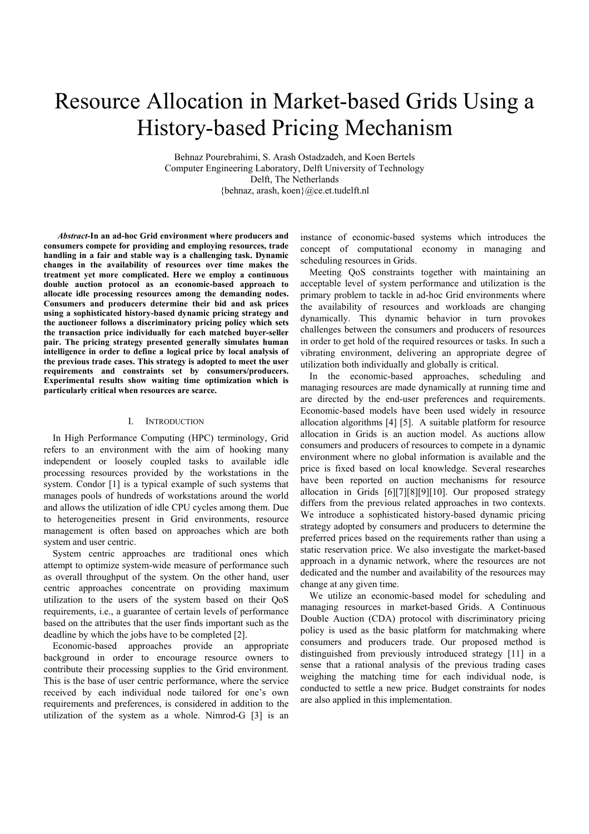# Resource Allocation in Market-based Grids Using a History-based Pricing Mechanism

Behnaz Pourebrahimi, S. Arash Ostadzadeh, and Koen Bertels Computer Engineering Laboratory, Delft University of Technology Delft, The Netherlands {behnaz, arash, koen}@ce.et.tudelft.nl

*Abstract-***In an ad-hoc Grid environment where producers and consumers compete for providing and employing resources, trade handling in a fair and stable way is a challenging task. Dynamic changes in the availability of resources over time makes the treatment yet more complicated. Here we employ a continuous double auction protocol as an economic-based approach to allocate idle processing resources among the demanding nodes. Consumers and producers determine their bid and ask prices using a sophisticated history-based dynamic pricing strategy and the auctioneer follows a discriminatory pricing policy which sets the transaction price individually for each matched buyer-seller pair. The pricing strategy presented generally simulates human intelligence in order to define a logical price by local analysis of the previous trade cases. This strategy is adopted to meet the user requirements and constraints set by consumers/producers. Experimental results show waiting time optimization which is particularly critical when resources are scarce.** 

## I. INTRODUCTION

In High Performance Computing (HPC) terminology, Grid refers to an environment with the aim of hooking many independent or loosely coupled tasks to available idle processing resources provided by the workstations in the system. Condor [1] is a typical example of such systems that manages pools of hundreds of workstations around the world and allows the utilization of idle CPU cycles among them. Due to heterogeneities present in Grid environments, resource management is often based on approaches which are both system and user centric.

System centric approaches are traditional ones which attempt to optimize system-wide measure of performance such as overall throughput of the system. On the other hand, user centric approaches concentrate on providing maximum utilization to the users of the system based on their QoS requirements, i.e., a guarantee of certain levels of performance based on the attributes that the user finds important such as the deadline by which the jobs have to be completed [2].

Economic-based approaches provide an appropriate background in order to encourage resource owners to contribute their processing supplies to the Grid environment. This is the base of user centric performance, where the service received by each individual node tailored for one's own requirements and preferences, is considered in addition to the utilization of the system as a whole. Nimrod-G [3] is an

instance of economic-based systems which introduces the concept of computational economy in managing and scheduling resources in Grids.

Meeting QoS constraints together with maintaining an acceptable level of system performance and utilization is the primary problem to tackle in ad-hoc Grid environments where the availability of resources and workloads are changing dynamically. This dynamic behavior in turn provokes challenges between the consumers and producers of resources in order to get hold of the required resources or tasks. In such a vibrating environment, delivering an appropriate degree of utilization both individually and globally is critical.

In the economic-based approaches, scheduling and managing resources are made dynamically at running time and are directed by the end-user preferences and requirements. Economic-based models have been used widely in resource allocation algorithms [4] [5]. A suitable platform for resource allocation in Grids is an auction model. As auctions allow consumers and producers of resources to compete in a dynamic environment where no global information is available and the price is fixed based on local knowledge. Several researches have been reported on auction mechanisms for resource allocation in Grids [6][7][8][9][10]. Our proposed strategy differs from the previous related approaches in two contexts. We introduce a sophisticated history-based dynamic pricing strategy adopted by consumers and producers to determine the preferred prices based on the requirements rather than using a static reservation price. We also investigate the market-based approach in a dynamic network, where the resources are not dedicated and the number and availability of the resources may change at any given time.

We utilize an economic-based model for scheduling and managing resources in market-based Grids. A Continuous Double Auction (CDA) protocol with discriminatory pricing policy is used as the basic platform for matchmaking where consumers and producers trade. Our proposed method is distinguished from previously introduced strategy [11] in a sense that a rational analysis of the previous trading cases weighing the matching time for each individual node, is conducted to settle a new price. Budget constraints for nodes are also applied in this implementation.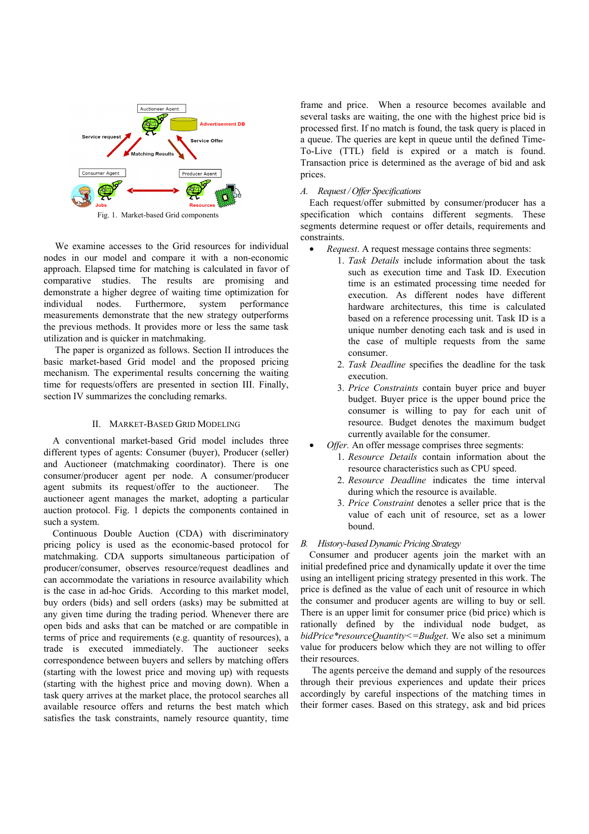

Fig. 1. Market-based Grid components

 We examine accesses to the Grid resources for individual nodes in our model and compare it with a non-economic approach. Elapsed time for matching is calculated in favor of comparative studies. The results are promising and demonstrate a higher degree of waiting time optimization for individual nodes. Furthermore, system performance measurements demonstrate that the new strategy outperforms the previous methods. It provides more or less the same task utilization and is quicker in matchmaking.

 The paper is organized as follows. Section II introduces the basic market-based Grid model and the proposed pricing mechanism. The experimental results concerning the waiting time for requests/offers are presented in section III. Finally, section IV summarizes the concluding remarks.

#### II. MARKET-BASED GRID MODELING

A conventional market-based Grid model includes three different types of agents: Consumer (buyer), Producer (seller) and Auctioneer (matchmaking coordinator). There is one consumer/producer agent per node. A consumer/producer agent submits its request/offer to the auctioneer. The auctioneer agent manages the market, adopting a particular auction protocol. Fig. 1 depicts the components contained in such a system.

Continuous Double Auction (CDA) with discriminatory pricing policy is used as the economic-based protocol for matchmaking. CDA supports simultaneous participation of producer/consumer, observes resource/request deadlines and can accommodate the variations in resource availability which is the case in ad-hoc Grids. According to this market model, buy orders (bids) and sell orders (asks) may be submitted at any given time during the trading period. Whenever there are open bids and asks that can be matched or are compatible in terms of price and requirements (e.g. quantity of resources), a trade is executed immediately. The auctioneer seeks correspondence between buyers and sellers by matching offers (starting with the lowest price and moving up) with requests (starting with the highest price and moving down). When a task query arrives at the market place, the protocol searches all available resource offers and returns the best match which satisfies the task constraints, namely resource quantity, time frame and price. When a resource becomes available and several tasks are waiting, the one with the highest price bid is processed first. If no match is found, the task query is placed in a queue. The queries are kept in queue until the defined Time-To-Live (TTL) field is expired or a match is found. Transaction price is determined as the average of bid and ask prices.

## *A. Request / Offer Specifications*

Each request/offer submitted by consumer/producer has a specification which contains different segments. These segments determine request or offer details, requirements and constraints.

- *Request*. A request message contains three segments:
	- 1. *Task Details* include information about the task such as execution time and Task ID. Execution time is an estimated processing time needed for execution. As different nodes have different hardware architectures, this time is calculated based on a reference processing unit. Task ID is a unique number denoting each task and is used in the case of multiple requests from the same consumer.
	- 2. *Task Deadline* specifies the deadline for the task execution.
	- 3. *Price Constraints* contain buyer price and buyer budget. Buyer price is the upper bound price the consumer is willing to pay for each unit of resource. Budget denotes the maximum budget currently available for the consumer.
- *Offer.* An offer message comprises three segments:
	- 1. *Resource Details* contain information about the resource characteristics such as CPU speed.
	- 2. *Resource Deadline* indicates the time interval during which the resource is available.
	- 3. *Price Constraint* denotes a seller price that is the value of each unit of resource, set as a lower bound.

#### *B. History-based Dynamic Pricing Strategy*

Consumer and producer agents join the market with an initial predefined price and dynamically update it over the time using an intelligent pricing strategy presented in this work. The price is defined as the value of each unit of resource in which the consumer and producer agents are willing to buy or sell. There is an upper limit for consumer price (bid price) which is rationally defined by the individual node budget, as *bidPrice\*resourceQuantity<=Budget*. We also set a minimum value for producers below which they are not willing to offer their resources.

 The agents perceive the demand and supply of the resources through their previous experiences and update their prices accordingly by careful inspections of the matching times in their former cases. Based on this strategy, ask and bid prices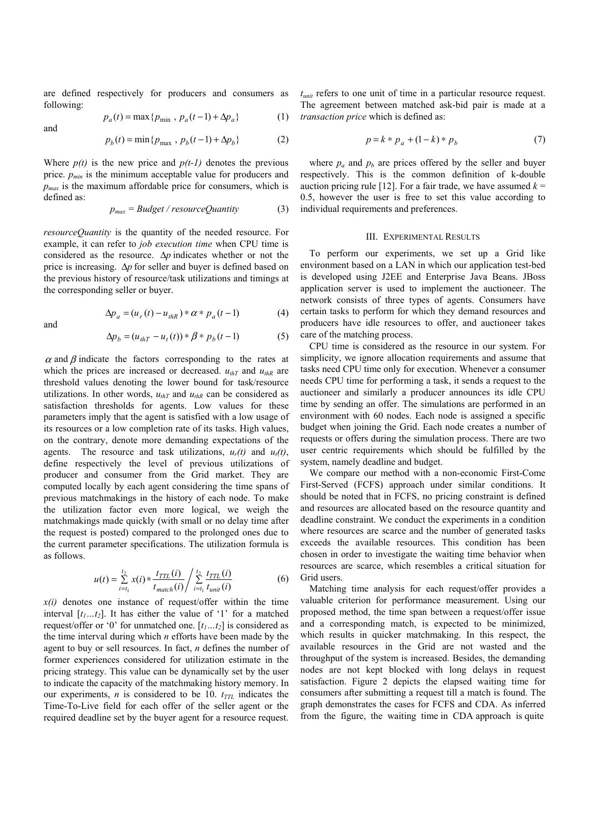are defined respectively for producers and consumers as following:

and

and

$$
p_a(t) = \max\{p_{\min}, p_a(t-1) + \Delta p_a\} \tag{1}
$$

$$
p_b(t) = \min\{p_{\text{max}}, p_b(t-1) + \Delta p_b\} \tag{2}
$$

Where  $p(t)$  is the new price and  $p(t-1)$  denotes the previous price.  $p_{min}$  is the minimum acceptable value for producers and  $p_{max}$  is the maximum affordable price for consumers, which is defined as:

$$
p_{max} = Budget / resourceQuantity \qquad (3)
$$

*resourceQuantity* is the quantity of the needed resource. For example, it can refer to *job execution time* when CPU time is considered as the resource. ∆*p* indicates whether or not the price is increasing. ∆*p* for seller and buyer is defined based on the previous history of resource/task utilizations and timings at the corresponding seller or buyer.

$$
\Delta p_a = (u_r(t) - u_{thR}) \cdot \alpha \cdot p_a(t-1) \tag{4}
$$

$$
\Delta p_b = (u_{thT} - u_t(t)) * \beta * p_b(t-1)
$$
 (5)

 $\alpha$  and  $\beta$  indicate the factors corresponding to the rates at which the prices are increased or decreased.  $u_{\text{thT}}$  and  $u_{\text{thR}}$  are threshold values denoting the lower bound for task/resource utilizations. In other words,  $u_{thr}$  and  $u_{thr}$  can be considered as satisfaction thresholds for agents. Low values for these parameters imply that the agent is satisfied with a low usage of its resources or a low completion rate of its tasks. High values, on the contrary, denote more demanding expectations of the agents. The resource and task utilizations,  $u_r(t)$  and  $u_t(t)$ , define respectively the level of previous utilizations of producer and consumer from the Grid market. They are computed locally by each agent considering the time spans of previous matchmakings in the history of each node. To make the utilization factor even more logical, we weigh the matchmakings made quickly (with small or no delay time after the request is posted) compared to the prolonged ones due to the current parameter specifications. The utilization formula is as follows.

$$
u(t) = \sum_{i=t_1}^{t_2} x(i) * \frac{t_{TTL}(i)}{t_{match}(i)} / \sum_{i=t_1}^{t_2} \frac{t_{TTL}(i)}{t_{unit}(i)}
$$
(6)

*x(i)* denotes one instance of request/offer within the time interval  $[t_1...t_2]$ . It has either the value of '1' for a matched request/offer or '0' for unmatched one.  $[t_1...t_2]$  is considered as the time interval during which *n* efforts have been made by the agent to buy or sell resources. In fact, *n* defines the number of former experiences considered for utilization estimate in the pricing strategy. This value can be dynamically set by the user to indicate the capacity of the matchmaking history memory. In our experiments, *n* is considered to be 10.  $t_{TTL}$  indicates the Time-To-Live field for each offer of the seller agent or the required deadline set by the buyer agent for a resource request.

*tunit* refers to one unit of time in a particular resource request. The agreement between matched ask-bid pair is made at a *transaction price* which is defined as:

$$
p = k * p_a + (1 - k) * p_b \tag{7}
$$

where  $p_a$  and  $p_b$  are prices offered by the seller and buyer respectively. This is the common definition of k-double auction pricing rule [12]. For a fair trade, we have assumed  $k =$ 0.5, however the user is free to set this value according to individual requirements and preferences.

#### III. EXPERIMENTAL RESULTS

To perform our experiments, we set up a Grid like environment based on a LAN in which our application test-bed is developed using J2EE and Enterprise Java Beans. JBoss application server is used to implement the auctioneer. The network consists of three types of agents. Consumers have certain tasks to perform for which they demand resources and producers have idle resources to offer, and auctioneer takes care of the matching process.

CPU time is considered as the resource in our system. For simplicity, we ignore allocation requirements and assume that tasks need CPU time only for execution. Whenever a consumer needs CPU time for performing a task, it sends a request to the auctioneer and similarly a producer announces its idle CPU time by sending an offer. The simulations are performed in an environment with 60 nodes. Each node is assigned a specific budget when joining the Grid. Each node creates a number of requests or offers during the simulation process. There are two user centric requirements which should be fulfilled by the system, namely deadline and budget.

We compare our method with a non-economic First-Come First-Served (FCFS) approach under similar conditions. It should be noted that in FCFS, no pricing constraint is defined and resources are allocated based on the resource quantity and deadline constraint. We conduct the experiments in a condition where resources are scarce and the number of generated tasks exceeds the available resources. This condition has been chosen in order to investigate the waiting time behavior when resources are scarce, which resembles a critical situation for Grid users.

Matching time analysis for each request/offer provides a valuable criterion for performance measurement. Using our proposed method, the time span between a request/offer issue and a corresponding match, is expected to be minimized, which results in quicker matchmaking. In this respect, the available resources in the Grid are not wasted and the throughput of the system is increased. Besides, the demanding nodes are not kept blocked with long delays in request satisfaction. Figure 2 depicts the elapsed waiting time for consumers after submitting a request till a match is found. The graph demonstrates the cases for FCFS and CDA. As inferred from the figure, the waiting time in CDA approach is quite